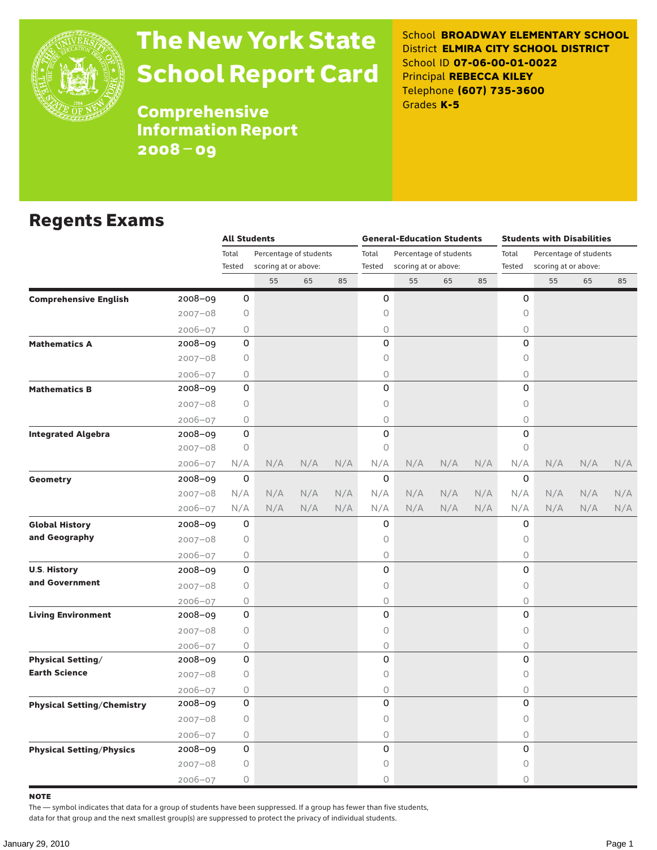

# The New York State School Report Card

School **BROADWAY ELEMENTARY SCHOOL** District **ELMIRA CITY SCHOOL DISTRICT** School ID **07-06-00-01-0022** Principal **REBECCA KILEY** Telephone **(607) 735-3600** Grades **K-5**

**Comprehensive** Information Report 2008–09

#### Regents Exams

|                                   |             | <b>All Students</b>             |                      |       |                        |        | <b>General-Education Students</b> |       |                        | <b>Students with Disabilities</b> |                      |     |     |  |
|-----------------------------------|-------------|---------------------------------|----------------------|-------|------------------------|--------|-----------------------------------|-------|------------------------|-----------------------------------|----------------------|-----|-----|--|
|                                   |             | Total<br>Percentage of students |                      | Total | Percentage of students |        |                                   | Total | Percentage of students |                                   |                      |     |     |  |
|                                   |             | Tested                          | scoring at or above: |       |                        | Tested | scoring at or above:              |       |                        | Tested                            | scoring at or above: |     |     |  |
|                                   |             |                                 | 55                   | 65    | 85                     |        | 55                                | 65    | 85                     |                                   | 55                   | 65  | 85  |  |
| <b>Comprehensive English</b>      | 2008-09     | 0                               |                      |       |                        | 0      |                                   |       |                        | 0                                 |                      |     |     |  |
|                                   | $2007 - 08$ | 0                               |                      |       |                        | 0      |                                   |       |                        | $\mathsf O$                       |                      |     |     |  |
|                                   | $2006 - 07$ | 0                               |                      |       |                        | 0      |                                   |       |                        | 0                                 |                      |     |     |  |
| <b>Mathematics A</b>              | $2008 - 09$ | 0                               |                      |       |                        | 0      |                                   |       |                        | $\Omega$                          |                      |     |     |  |
|                                   | $2007 - 08$ | 0                               |                      |       |                        | 0      |                                   |       |                        | 0                                 |                      |     |     |  |
|                                   | $2006 - 07$ | 0                               |                      |       |                        | 0      |                                   |       |                        | 0                                 |                      |     |     |  |
| <b>Mathematics B</b>              | 2008-09     | 0                               |                      |       |                        | 0      |                                   |       |                        | $\Omega$                          |                      |     |     |  |
|                                   | $2007 - 08$ | 0                               |                      |       |                        | 0      |                                   |       |                        | 0                                 |                      |     |     |  |
|                                   | $2006 - 07$ | 0                               |                      |       |                        | 0      |                                   |       |                        | $\bigcirc$                        |                      |     |     |  |
| <b>Integrated Algebra</b>         | 2008-09     | 0                               |                      |       |                        | 0      |                                   |       |                        | 0                                 |                      |     |     |  |
|                                   | $2007 - 08$ | 0                               |                      |       |                        | 0      |                                   |       |                        | $\circ$                           |                      |     |     |  |
|                                   | 2006-07     | N/A                             | N/A                  | N/A   | N/A                    | N/A    | N/A                               | N/A   | N/A                    | N/A                               | N/A                  | N/A | N/A |  |
| Geometry                          | 2008-09     | 0                               |                      |       |                        | 0      |                                   |       |                        | 0                                 |                      |     |     |  |
|                                   | $2007 - 08$ | N/A                             | N/A                  | N/A   | N/A                    | N/A    | N/A                               | N/A   | N/A                    | N/A                               | N/A                  | N/A | N/A |  |
|                                   | $2006 - 07$ | N/A                             | N/A                  | N/A   | N/A                    | N/A    | N/A                               | N/A   | N/A                    | N/A                               | N/A                  | N/A | N/A |  |
| <b>Global History</b>             | 2008-09     | 0                               |                      |       |                        | 0      |                                   |       |                        | 0                                 |                      |     |     |  |
| and Geography                     | $2007 - 08$ | 0                               |                      |       |                        | 0      |                                   |       |                        | $\mathsf O$                       |                      |     |     |  |
|                                   | 2006-07     | 0                               |                      |       |                        | 0      |                                   |       |                        | $\circ$                           |                      |     |     |  |
| <b>U.S. History</b>               | 2008-09     | 0                               |                      |       |                        | 0      |                                   |       |                        | 0                                 |                      |     |     |  |
| and Government                    | $2007 - 08$ | 0                               |                      |       |                        | 0      |                                   |       |                        | $\mathsf O$                       |                      |     |     |  |
|                                   | $2006 - 07$ | 0                               |                      |       |                        | 0      |                                   |       |                        | $\bigcirc$                        |                      |     |     |  |
| <b>Living Environment</b>         | 2008-09     | 0                               |                      |       |                        | 0      |                                   |       |                        | 0                                 |                      |     |     |  |
|                                   | $2007 - 08$ | 0                               |                      |       |                        | 0      |                                   |       |                        | $\mathsf O$                       |                      |     |     |  |
|                                   | $2006 - 07$ | 0                               |                      |       |                        | 0      |                                   |       |                        | $\bigcirc$                        |                      |     |     |  |
| <b>Physical Setting/</b>          | 2008-09     | 0                               |                      |       |                        | 0      |                                   |       |                        | 0                                 |                      |     |     |  |
| <b>Earth Science</b>              | $2007 - 08$ | 0                               |                      |       |                        | 0      |                                   |       |                        | 0                                 |                      |     |     |  |
|                                   | $2006 - 07$ | 0                               |                      |       |                        | 0      |                                   |       |                        | $\mathsf O$                       |                      |     |     |  |
| <b>Physical Setting/Chemistry</b> | 2008-09     | 0                               |                      |       |                        | 0      |                                   |       |                        | 0                                 |                      |     |     |  |
|                                   | $2007 - 08$ | 0                               |                      |       |                        | 0      |                                   |       |                        | 0                                 |                      |     |     |  |
|                                   | $2006 - 07$ | 0                               |                      |       |                        | 0      |                                   |       |                        | $\bigcirc$                        |                      |     |     |  |
| <b>Physical Setting/Physics</b>   | 2008-09     | 0                               |                      |       |                        | 0      |                                   |       |                        | 0                                 |                      |     |     |  |
|                                   | $2007 - 08$ | 0                               |                      |       |                        | 0      |                                   |       |                        | 0                                 |                      |     |     |  |
|                                   | $2006 - 07$ | 0                               |                      |       |                        | 0      |                                   |       |                        | 0                                 |                      |     |     |  |

note

The — symbol indicates that data for a group of students have been suppressed. If a group has fewer than five students,

data for that group and the next smallest group(s) are suppressed to protect the privacy of individual students.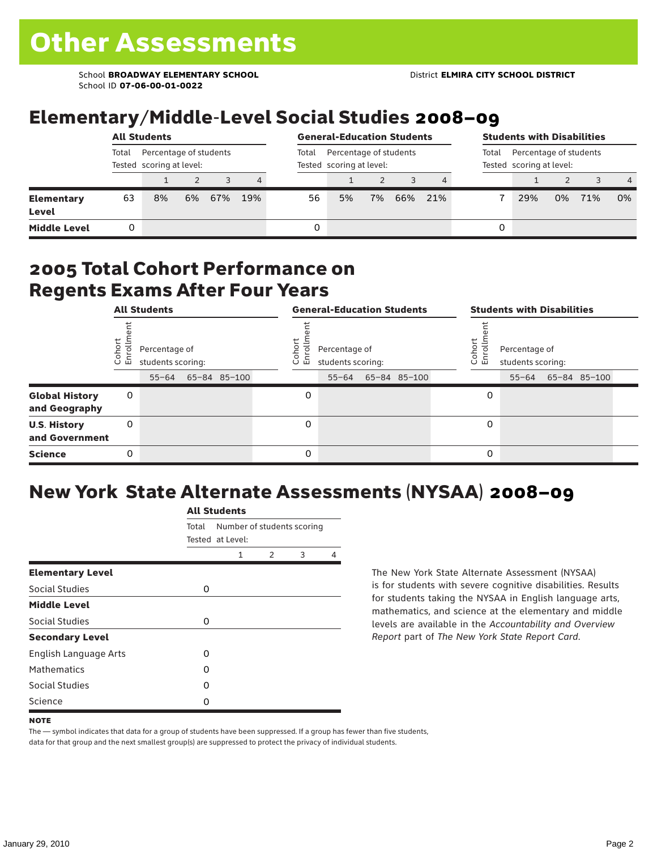School **BROADWAY ELEMENTARY SCHOOL** District **ELMIRA CITY SCHOOL DISTRICT** School ID **07-06-00-01-0022**

### Elementary/Middle-Level Social Studies 2008–09

|                            |                                                             | <b>All Students</b> |    |     |     | <b>General-Education Students</b> |                                                    |    |     |     | <b>Students with Disabilities</b> |                                                             |    |     |                |  |
|----------------------------|-------------------------------------------------------------|---------------------|----|-----|-----|-----------------------------------|----------------------------------------------------|----|-----|-----|-----------------------------------|-------------------------------------------------------------|----|-----|----------------|--|
|                            | Percentage of students<br>Total<br>Tested scoring at level: |                     |    |     |     | Total                             | Percentage of students<br>Tested scoring at level: |    |     |     |                                   | Percentage of students<br>Total<br>Tested scoring at level: |    |     |                |  |
|                            |                                                             |                     |    |     | 4   |                                   |                                                    |    |     | 4   |                                   |                                                             |    |     | $\overline{4}$ |  |
| <b>Elementary</b><br>Level | 63                                                          | 8%                  | 6% | 67% | 19% | 56                                | 5%                                                 | 7% | 66% | 21% |                                   | 29%                                                         | 0% | 71% | 0%             |  |
| <b>Middle Level</b>        |                                                             |                     |    |     |     | 0                                 |                                                    |    |     |     | 0                                 |                                                             |    |     |                |  |

#### 2005 Total Cohort Performance on Regents Exams After Four Years

|                                        | <b>All Students</b> |                                                 |  |              | <b>General-Education Students</b> |                                                 |  |              |  | <b>Students with Disabilities</b> |                                    |  |                    |  |
|----------------------------------------|---------------------|-------------------------------------------------|--|--------------|-----------------------------------|-------------------------------------------------|--|--------------|--|-----------------------------------|------------------------------------|--|--------------------|--|
|                                        | Cohor<br>Enroll     | Percentage of<br>students scoring:<br>$55 - 64$ |  | 65-84 85-100 | Cohoi<br>ō.<br>ᇛ                  | Percentage of<br>students scoring:<br>$55 - 64$ |  | 65-84 85-100 |  | Cohor<br>$\circ$<br>멷             | Percentage of<br>students scoring: |  | 55-64 65-84 85-100 |  |
| <b>Global History</b><br>and Geography | 0                   |                                                 |  |              | 0                                 |                                                 |  |              |  | 0                                 |                                    |  |                    |  |
| <b>U.S. History</b><br>and Government  | 0                   |                                                 |  |              | 0                                 |                                                 |  |              |  | 0                                 |                                    |  |                    |  |
| <b>Science</b>                         | 0                   |                                                 |  |              | 0                                 |                                                 |  |              |  | 0                                 |                                    |  |                    |  |

## New York State Alternate Assessments (NYSAA) 2008–09

|                              | <b>All Students</b> |                                                |               |   |  |  |  |  |  |  |  |
|------------------------------|---------------------|------------------------------------------------|---------------|---|--|--|--|--|--|--|--|
|                              | Total               | Number of students scoring<br>Tested at Level: |               |   |  |  |  |  |  |  |  |
|                              |                     | 1                                              | $\mathcal{P}$ | 4 |  |  |  |  |  |  |  |
| <b>Elementary Level</b>      |                     |                                                |               |   |  |  |  |  |  |  |  |
| Social Studies               | 0                   |                                                |               |   |  |  |  |  |  |  |  |
| <b>Middle Level</b>          |                     |                                                |               |   |  |  |  |  |  |  |  |
| Social Studies               | 0                   |                                                |               |   |  |  |  |  |  |  |  |
| <b>Secondary Level</b>       |                     |                                                |               |   |  |  |  |  |  |  |  |
| <b>English Language Arts</b> | O                   |                                                |               |   |  |  |  |  |  |  |  |
| <b>Mathematics</b>           | Ω                   |                                                |               |   |  |  |  |  |  |  |  |
| Social Studies               | O                   |                                                |               |   |  |  |  |  |  |  |  |
| Science                      | Ω                   |                                                |               |   |  |  |  |  |  |  |  |

The New York State Alternate Assessment (NYSAA) is for students with severe cognitive disabilities. Results for students taking the NYSAA in English language arts, mathematics, and science at the elementary and middle levels are available in the *Accountability and Overview Report* part of *The New York State Report Card*.

The — symbol indicates that data for a group of students have been suppressed. If a group has fewer than five students, data for that group and the next smallest group(s) are suppressed to protect the privacy of individual students.

**NOTE**